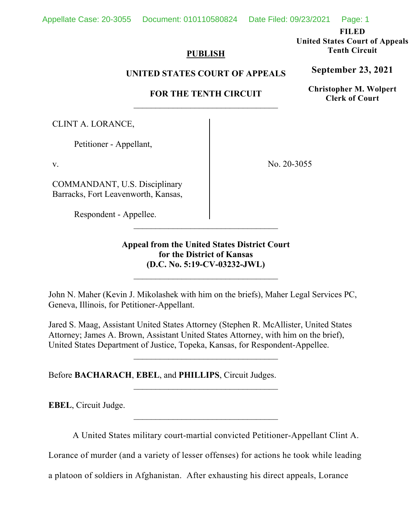Appellate Case: 20-3055 Document: 010110580824 Date Filed: 09/23/2021 Page: 1

**FILED** 

**United States Court of Appeals Tenth Circuit** 

# **PUBLISH**

# **UNITED STATES COURT OF APPEALS**

# **FOR THE TENTH CIRCUIT**

CLINT A. LORANCE,

Petitioner - Appellant,

v.

COMMANDANT, U.S. Disciplinary Barracks, Fort Leavenworth, Kansas,

Respondent - Appellee.

No. 20-3055

**Appeal from the United States District Court for the District of Kansas (D.C. No. 5:19-CV-03232-JWL)**

John N. Maher (Kevin J. Mikolashek with him on the briefs), Maher Legal Services PC, Geneva, Illinois, for Petitioner-Appellant.

Jared S. Maag, Assistant United States Attorney (Stephen R. McAllister, United States Attorney; James A. Brown, Assistant United States Attorney, with him on the brief), United States Department of Justice, Topeka, Kansas, for Respondent-Appellee.

Before **BACHARACH**, **EBEL**, and **PHILLIPS**, Circuit Judges.

**EBEL**, Circuit Judge.

A United States military court-martial convicted Petitioner-Appellant Clint A.

Lorance of murder (and a variety of lesser offenses) for actions he took while leading

a platoon of soldiers in Afghanistan. After exhausting his direct appeals, Lorance

# **September 23, 2021**

**Christopher M. Wolpert Clerk of Court**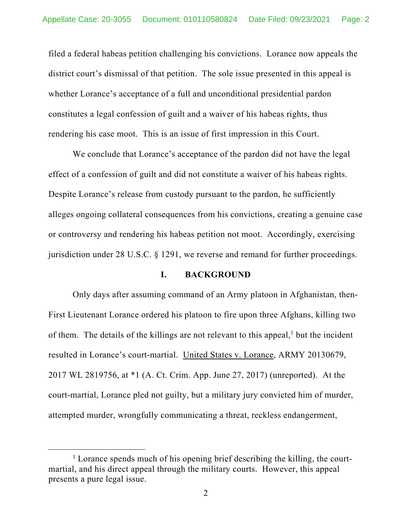filed a federal habeas petition challenging his convictions. Lorance now appeals the district court's dismissal of that petition. The sole issue presented in this appeal is whether Lorance's acceptance of a full and unconditional presidential pardon constitutes a legal confession of guilt and a waiver of his habeas rights, thus rendering his case moot. This is an issue of first impression in this Court.

We conclude that Lorance's acceptance of the pardon did not have the legal effect of a confession of guilt and did not constitute a waiver of his habeas rights. Despite Lorance's release from custody pursuant to the pardon, he sufficiently alleges ongoing collateral consequences from his convictions, creating a genuine case or controversy and rendering his habeas petition not moot. Accordingly, exercising jurisdiction under 28 U.S.C. § 1291, we reverse and remand for further proceedings.

### **I. BACKGROUND**

Only days after assuming command of an Army platoon in Afghanistan, then-First Lieutenant Lorance ordered his platoon to fire upon three Afghans, killing two of them. The details of the killings are not relevant to this appeal, $<sup>1</sup>$  but the incident</sup> resulted in Lorance's court-martial. United States v. Lorance, ARMY 20130679, 2017 WL 2819756, at \*1 (A. Ct. Crim. App. June 27, 2017) (unreported). At the court-martial, Lorance pled not guilty, but a military jury convicted him of murder, attempted murder, wrongfully communicating a threat, reckless endangerment,

<sup>&</sup>lt;sup>1</sup> Lorance spends much of his opening brief describing the killing, the courtmartial, and his direct appeal through the military courts. However, this appeal presents a pure legal issue.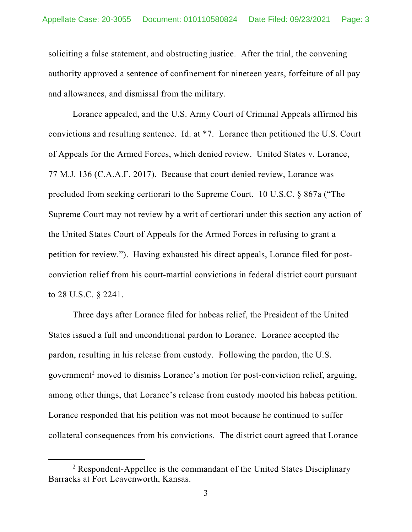soliciting a false statement, and obstructing justice. After the trial, the convening authority approved a sentence of confinement for nineteen years, forfeiture of all pay and allowances, and dismissal from the military.

Lorance appealed, and the U.S. Army Court of Criminal Appeals affirmed his convictions and resulting sentence. Id. at \*7. Lorance then petitioned the U.S. Court of Appeals for the Armed Forces, which denied review. United States v. Lorance, 77 M.J. 136 (C.A.A.F. 2017). Because that court denied review, Lorance was precluded from seeking certiorari to the Supreme Court. 10 U.S.C. § 867a ("The Supreme Court may not review by a writ of certiorari under this section any action of the United States Court of Appeals for the Armed Forces in refusing to grant a petition for review."). Having exhausted his direct appeals, Lorance filed for postconviction relief from his court-martial convictions in federal district court pursuant to 28 U.S.C. § 2241.

Three days after Lorance filed for habeas relief, the President of the United States issued a full and unconditional pardon to Lorance. Lorance accepted the pardon, resulting in his release from custody. Following the pardon, the U.S. government<sup>2</sup> moved to dismiss Lorance's motion for post-conviction relief, arguing, among other things, that Lorance's release from custody mooted his habeas petition. Lorance responded that his petition was not moot because he continued to suffer collateral consequences from his convictions. The district court agreed that Lorance

 $2$  Respondent-Appellee is the commandant of the United States Disciplinary Barracks at Fort Leavenworth, Kansas.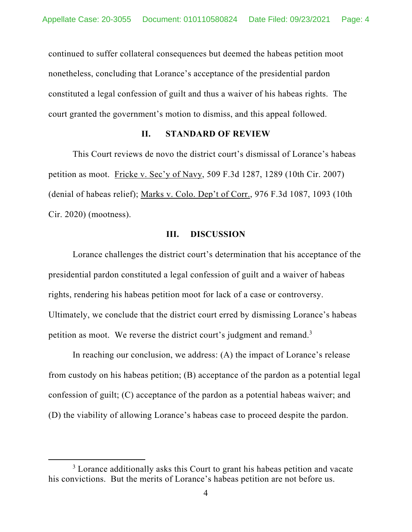continued to suffer collateral consequences but deemed the habeas petition moot nonetheless, concluding that Lorance's acceptance of the presidential pardon constituted a legal confession of guilt and thus a waiver of his habeas rights. The court granted the government's motion to dismiss, and this appeal followed.

### **II. STANDARD OF REVIEW**

This Court reviews de novo the district court's dismissal of Lorance's habeas petition as moot. Fricke v. Sec'y of Navy, 509 F.3d 1287, 1289 (10th Cir. 2007) (denial of habeas relief); Marks v. Colo. Dep't of Corr., 976 F.3d 1087, 1093 (10th Cir. 2020) (mootness).

#### **III. DISCUSSION**

Lorance challenges the district court's determination that his acceptance of the presidential pardon constituted a legal confession of guilt and a waiver of habeas rights, rendering his habeas petition moot for lack of a case or controversy. Ultimately, we conclude that the district court erred by dismissing Lorance's habeas petition as moot. We reverse the district court's judgment and remand.<sup>3</sup>

In reaching our conclusion, we address: (A) the impact of Lorance's release from custody on his habeas petition; (B) acceptance of the pardon as a potential legal confession of guilt; (C) acceptance of the pardon as a potential habeas waiver; and (D) the viability of allowing Lorance's habeas case to proceed despite the pardon.

<sup>&</sup>lt;sup>3</sup> Lorance additionally asks this Court to grant his habeas petition and vacate his convictions. But the merits of Lorance's habeas petition are not before us.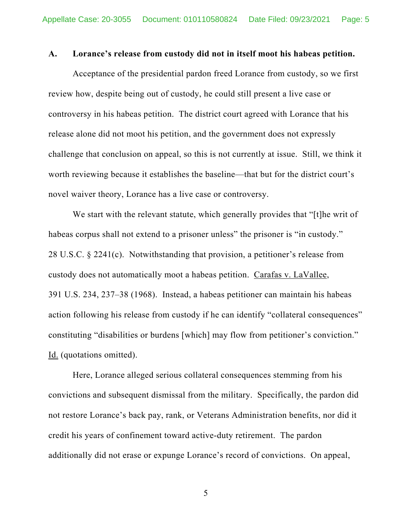#### **A. Lorance's release from custody did not in itself moot his habeas petition.**

Acceptance of the presidential pardon freed Lorance from custody, so we first review how, despite being out of custody, he could still present a live case or controversy in his habeas petition. The district court agreed with Lorance that his release alone did not moot his petition, and the government does not expressly challenge that conclusion on appeal, so this is not currently at issue. Still, we think it worth reviewing because it establishes the baseline—that but for the district court's novel waiver theory, Lorance has a live case or controversy.

We start with the relevant statute, which generally provides that "[t]he writ of habeas corpus shall not extend to a prisoner unless" the prisoner is "in custody." 28 U.S.C. § 2241(c). Notwithstanding that provision, a petitioner's release from custody does not automatically moot a habeas petition. Carafas v. LaVallee, 391 U.S. 234, 237–38 (1968). Instead, a habeas petitioner can maintain his habeas action following his release from custody if he can identify "collateral consequences" constituting "disabilities or burdens [which] may flow from petitioner's conviction." Id. (quotations omitted).

Here, Lorance alleged serious collateral consequences stemming from his convictions and subsequent dismissal from the military. Specifically, the pardon did not restore Lorance's back pay, rank, or Veterans Administration benefits, nor did it credit his years of confinement toward active-duty retirement. The pardon additionally did not erase or expunge Lorance's record of convictions. On appeal,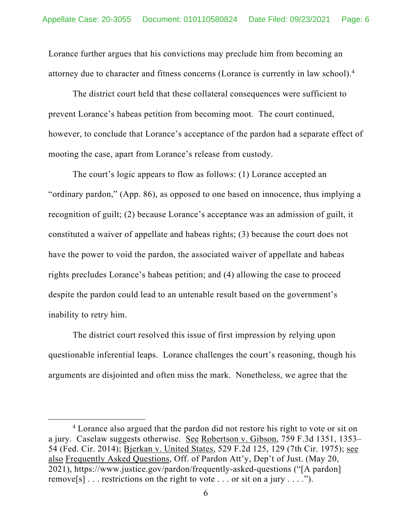Lorance further argues that his convictions may preclude him from becoming an attorney due to character and fitness concerns (Lorance is currently in law school).4

The district court held that these collateral consequences were sufficient to prevent Lorance's habeas petition from becoming moot. The court continued, however, to conclude that Lorance's acceptance of the pardon had a separate effect of mooting the case, apart from Lorance's release from custody.

The court's logic appears to flow as follows: (1) Lorance accepted an "ordinary pardon," (App. 86), as opposed to one based on innocence, thus implying a recognition of guilt; (2) because Lorance's acceptance was an admission of guilt, it constituted a waiver of appellate and habeas rights; (3) because the court does not have the power to void the pardon, the associated waiver of appellate and habeas rights precludes Lorance's habeas petition; and (4) allowing the case to proceed despite the pardon could lead to an untenable result based on the government's inability to retry him.

The district court resolved this issue of first impression by relying upon questionable inferential leaps. Lorance challenges the court's reasoning, though his arguments are disjointed and often miss the mark. Nonetheless, we agree that the

<sup>&</sup>lt;sup>4</sup> Lorance also argued that the pardon did not restore his right to vote or sit on a jury. Caselaw suggests otherwise. See Robertson v. Gibson, 759 F.3d 1351, 1353-54 (Fed. Cir. 2014); Bjerkan v. United States, 529 F.2d 125, 129 (7th Cir. 1975); see also Frequently Asked Questions, Off. of Pardon Att'y, Dep't of Just. (May 20, 2021), https://www.justice.gov/pardon/frequently-asked-questions ("[A pardon] remove[s]... restrictions on the right to vote ... or sit on a jury ....").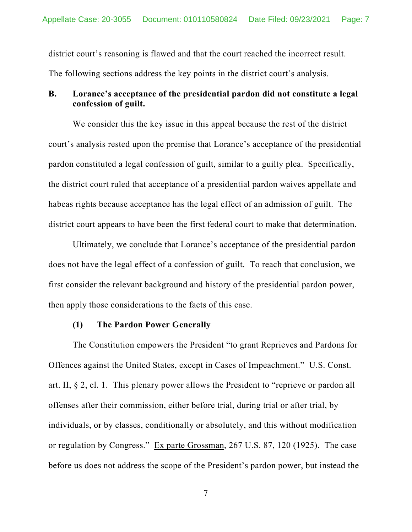district court's reasoning is flawed and that the court reached the incorrect result. The following sections address the key points in the district court's analysis.

## **B. Lorance's acceptance of the presidential pardon did not constitute a legal confession of guilt.**

We consider this the key issue in this appeal because the rest of the district court's analysis rested upon the premise that Lorance's acceptance of the presidential pardon constituted a legal confession of guilt, similar to a guilty plea. Specifically, the district court ruled that acceptance of a presidential pardon waives appellate and habeas rights because acceptance has the legal effect of an admission of guilt. The district court appears to have been the first federal court to make that determination.

Ultimately, we conclude that Lorance's acceptance of the presidential pardon does not have the legal effect of a confession of guilt. To reach that conclusion, we first consider the relevant background and history of the presidential pardon power, then apply those considerations to the facts of this case.

#### **(1) The Pardon Power Generally**

The Constitution empowers the President "to grant Reprieves and Pardons for Offences against the United States, except in Cases of Impeachment." U.S. Const. art. II,  $\S 2$ , cl. 1. This plenary power allows the President to "reprieve or pardon all offenses after their commission, either before trial, during trial or after trial, by individuals, or by classes, conditionally or absolutely, and this without modification or regulation by Congress." Ex parte Grossman, 267 U.S. 87, 120 (1925). The case before us does not address the scope of the President's pardon power, but instead the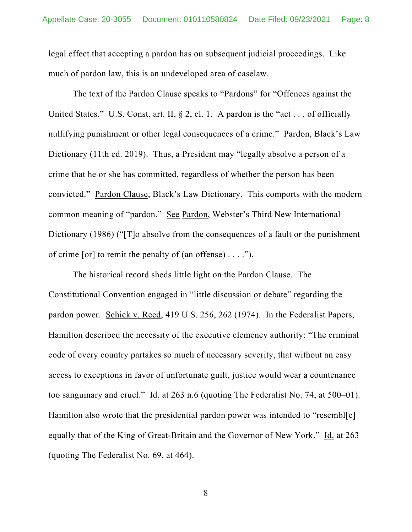legal effect that accepting a pardon has on subsequent judicial proceedings. Like much of pardon law, this is an undeveloped area of caselaw.

The text of the Pardon Clause speaks to "Pardons" for "Offences against the United States." U.S. Const. art. II,  $\S$  2, cl. 1. A pardon is the "act... of officially nullifying punishment or other legal consequences of a crime." Pardon, Black's Law Dictionary (11th ed. 2019). Thus, a President may "legally absolve a person of a crime that he or she has committed, regardless of whether the person has been convicted." Pardon Clause, Black's Law Dictionary. This comports with the modern common meaning of "pardon." See Pardon, Webster's Third New International Dictionary (1986) ("<sup>T</sup>]o absolve from the consequences of a fault or the punishment of crime [or] to remit the penalty of (an offense)  $\dots$  .").

The historical record sheds little light on the Pardon Clause. The Constitutional Convention engaged in "little discussion or debate" regarding the pardon power. Schick v. Reed, 419 U.S. 256, 262 (1974). In the Federalist Papers, Hamilton described the necessity of the executive clemency authority: "The criminal code of every country partakes so much of necessary severity, that without an easy access to exceptions in favor of unfortunate guilt, justice would wear a countenance too sanguinary and cruel." Id. at 263 n.6 (quoting The Federalist No. 74, at  $500-01$ ). Hamilton also wrote that the presidential pardon power was intended to "resembl[e] equally that of the King of Great-Britain and the Governor of New York." Id. at 263 (quoting The Federalist No. 69, at 464).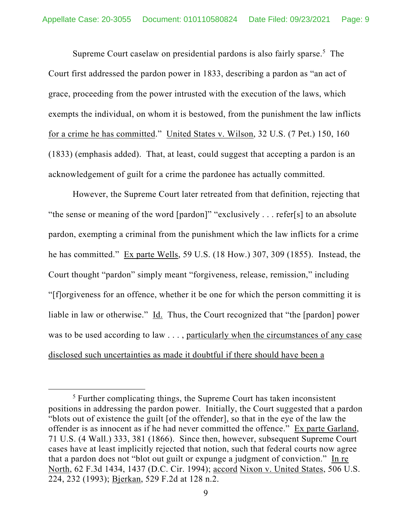Supreme Court caselaw on presidential pardons is also fairly sparse.<sup>5</sup> The Court first addressed the pardon power in 1833, describing a pardon as "an act of grace, proceeding from the power intrusted with the execution of the laws, which exempts the individual, on whom it is bestowed, from the punishment the law inflicts for a crime he has committed." United States v. Wilson, 32 U.S. (7 Pet.) 150, 160 (1833) (emphasis added). That, at least, could suggest that accepting a pardon is an acknowledgement of guilt for a crime the pardonee has actually committed.

However, the Supreme Court later retreated from that definition, rejecting that "the sense or meaning of the word [pardon]" "exclusively . . . refer[s] to an absolute pardon, exempting a criminal from the punishment which the law inflicts for a crime he has committed." Ex parte Wells, 59 U.S. (18 How.) 307, 309 (1855). Instead, the Court thought "pardon" simply meant "forgiveness, release, remission," including "[f]orgiveness for an offence, whether it be one for which the person committing it is liable in law or otherwise." Id. Thus, the Court recognized that "the [pardon] power was to be used according to law . . . , particularly when the circumstances of any case disclosed such uncertainties as made it doubtful if there should have been a

<sup>&</sup>lt;sup>5</sup> Further complicating things, the Supreme Court has taken inconsistent positions in addressing the pardon power. Initially, the Court suggested that a pardon "blots out of existence the guilt [of the offender], so that in the eye of the law the offender is as innocent as if he had never committed the offence." Ex parte Garland, 71 U.S. (4 Wall.) 333, 381 (1866). Since then, however, subsequent Supreme Court cases have at least implicitly rejected that notion, such that federal courts now agree that a pardon does not "blot out guilt or expunge a judgment of conviction." In re North, 62 F.3d 1434, 1437 (D.C. Cir. 1994); accord Nixon v. United States, 506 U.S. 224, 232 (1993); Bjerkan, 529 F.2d at 128 n.2.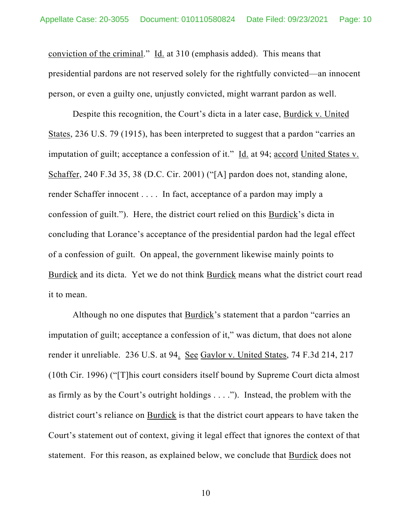conviction of the criminal." Id. at 310 (emphasis added). This means that presidential pardons are not reserved solely for the rightfully convicted—an innocent person, or even a guilty one, unjustly convicted, might warrant pardon as well.

Despite this recognition, the Court's dicta in a later case, Burdick v. United States, 236 U.S. 79 (1915), has been interpreted to suggest that a pardon "carries an imputation of guilt; acceptance a confession of it." Id. at 94; accord United States v. Schaffer, 240 F.3d 35, 38 (D.C. Cir. 2001) ("[A] pardon does not, standing alone, render Schaffer innocent . . . . In fact, acceptance of a pardon may imply a confession of guilt."). Here, the district court relied on this Burdick's dicta in concluding that Lorance's acceptance of the presidential pardon had the legal effect of a confession of guilt. On appeal, the government likewise mainly points to Burdick and its dicta. Yet we do not think Burdick means what the district court read it to mean.

Although no one disputes that Burdick's statement that a pardon "carries an imputation of guilt; acceptance a confession of it," was dictum, that does not alone render it unreliable. 236 U.S. at 94. See Gaylor v. United States, 74 F.3d 214, 217 (10th Cir. 1996) ("[T]his court considers itself bound by Supreme Court dicta almost as firmly as by the Court's outright holdings . . . ."). Instead, the problem with the district court's reliance on **Burdick** is that the district court appears to have taken the Court's statement out of context, giving it legal effect that ignores the context of that statement. For this reason, as explained below, we conclude that Burdick does not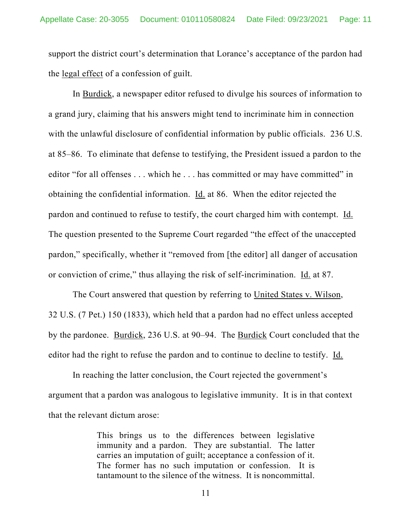support the district court's determination that Lorance's acceptance of the pardon had the legal effect of a confession of guilt.

In Burdick, a newspaper editor refused to divulge his sources of information to a grand jury, claiming that his answers might tend to incriminate him in connection with the unlawful disclosure of confidential information by public officials. 236 U.S. at 85–86. To eliminate that defense to testifying, the President issued a pardon to the editor "for all offenses . . . which he . . . has committed or may have committed" in obtaining the confidential information. Id. at 86. When the editor rejected the pardon and continued to refuse to testify, the court charged him with contempt. Id. The question presented to the Supreme Court regarded "the effect of the unaccepted pardon," specifically, whether it "removed from [the editor] all danger of accusation or conviction of crime," thus allaying the risk of self-incrimination. Id. at 87.

The Court answered that question by referring to United States v. Wilson, 32 U.S. (7 Pet.) 150 (1833), which held that a pardon had no effect unless accepted by the pardonee. Burdick, 236 U.S. at 90–94. The Burdick Court concluded that the editor had the right to refuse the pardon and to continue to decline to testify. Id.

In reaching the latter conclusion, the Court rejected the government's argument that a pardon was analogous to legislative immunity. It is in that context that the relevant dictum arose:

> This brings us to the differences between legislative immunity and a pardon. They are substantial. The latter carries an imputation of guilt; acceptance a confession of it. The former has no such imputation or confession. It is tantamount to the silence of the witness. It is noncommittal.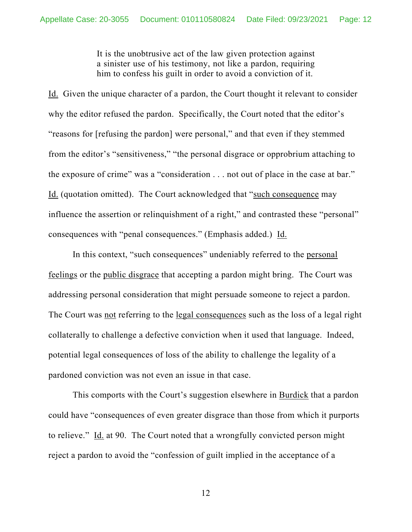It is the unobtrusive act of the law given protection against a sinister use of his testimony, not like a pardon, requiring him to confess his guilt in order to avoid a conviction of it.

Id. Given the unique character of a pardon, the Court thought it relevant to consider why the editor refused the pardon. Specifically, the Court noted that the editor's "reasons for [refusing the pardon] were personal," and that even if they stemmed from the editor's "sensitiveness," "the personal disgrace or opprobrium attaching to the exposure of crime" was a "consideration . . . not out of place in the case at bar." Id. (quotation omitted). The Court acknowledged that "such consequence may influence the assertion or relinquishment of a right," and contrasted these "personal" consequences with "penal consequences." (Emphasis added.) Id.

In this context, "such consequences" undeniably referred to the personal feelings or the public disgrace that accepting a pardon might bring. The Court was addressing personal consideration that might persuade someone to reject a pardon. The Court was not referring to the legal consequences such as the loss of a legal right collaterally to challenge a defective conviction when it used that language. Indeed, potential legal consequences of loss of the ability to challenge the legality of a pardoned conviction was not even an issue in that case.

This comports with the Court's suggestion elsewhere in **Burdick** that a pardon could have "consequences of even greater disgrace than those from which it purports to relieve." Id. at 90. The Court noted that a wrongfully convicted person might reject a pardon to avoid the "confession of guilt implied in the acceptance of a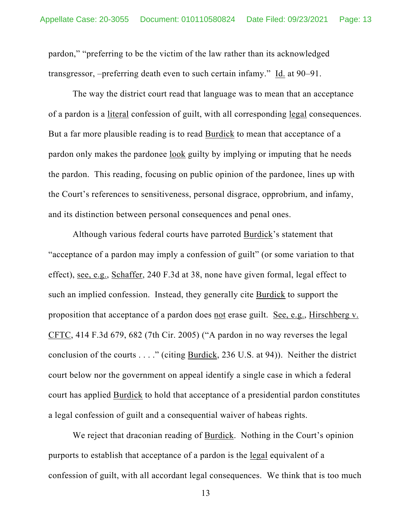pardon," "preferring to be the victim of the law rather than its acknowledged transgressor, –preferring death even to such certain infamy." Id. at 90–91.

The way the district court read that language was to mean that an acceptance of a pardon is a <u>literal</u> confession of guilt, with all corresponding <u>legal</u> consequences. But a far more plausible reading is to read Burdick to mean that acceptance of a pardon only makes the pardonee look guilty by implying or imputing that he needs the pardon. This reading, focusing on public opinion of the pardonee, lines up with the Court's references to sensitiveness, personal disgrace, opprobrium, and infamy, and its distinction between personal consequences and penal ones.

Although various federal courts have parroted Burdick's statement that "acceptance of a pardon may imply a confession of guilt" (or some variation to that effect), see, e.g., Schaffer, 240 F.3d at 38, none have given formal, legal effect to such an implied confession. Instead, they generally cite Burdick to support the proposition that acceptance of a pardon does not erase guilt. See, e.g., Hirschberg v. CFTC, 414 F.3d 679, 682 (7th Cir. 2005) ("A pardon in no way reverses the legal conclusion of the courts . . . ." (citing Burdick, 236 U.S. at 94)). Neither the district court below nor the government on appeal identify a single case in which a federal court has applied **Burdick** to hold that acceptance of a presidential pardon constitutes a legal confession of guilt and a consequential waiver of habeas rights.

We reject that draconian reading of Burdick. Nothing in the Court's opinion purports to establish that acceptance of a pardon is the legal equivalent of a confession of guilt, with all accordant legal consequences. We think that is too much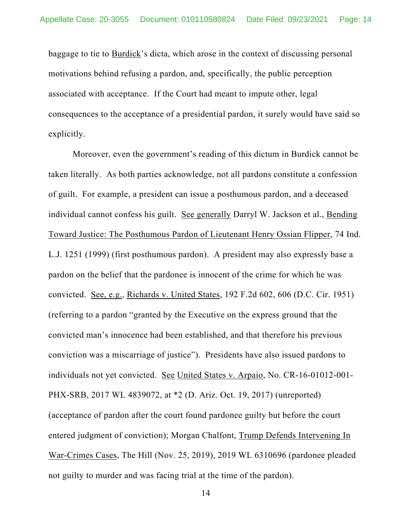baggage to tie to Burdick's dicta, which arose in the context of discussing personal motivations behind refusing a pardon, and, specifically, the public perception associated with acceptance. If the Court had meant to impute other, legal consequences to the acceptance of a presidential pardon, it surely would have said so explicitly.

Moreover, even the government's reading of this dictum in Burdick cannot be taken literally. As both parties acknowledge, not all pardons constitute a confession of guilt. For example, a president can issue a posthumous pardon, and a deceased individual cannot confess his guilt. See generally Darryl W. Jackson et al., Bending Toward Justice: The Posthumous Pardon of Lieutenant Henry Ossian Flipper, 74 Ind. L.J. 1251 (1999) (first posthumous pardon). A president may also expressly base a pardon on the belief that the pardonee is innocent of the crime for which he was convicted. See, e.g., Richards v. United States, 192 F.2d 602, 606 (D.C. Cir. 1951) (referring to a pardon "granted by the Executive on the express ground that the convicted man's innocence had been established, and that therefore his previous conviction was a miscarriage of justice"). Presidents have also issued pardons to individuals not yet convicted. See United States v. Arpaio, No. CR-16-01012-001- PHX-SRB, 2017 WL 4839072, at \*2 (D. Ariz. Oct. 19, 2017) (unreported) (acceptance of pardon after the court found pardonee guilty but before the court entered judgment of conviction); Morgan Chalfont, Trump Defends Intervening In War-Crimes Cases, The Hill (Nov. 25, 2019), 2019 WL 6310696 (pardonee pleaded not guilty to murder and was facing trial at the time of the pardon).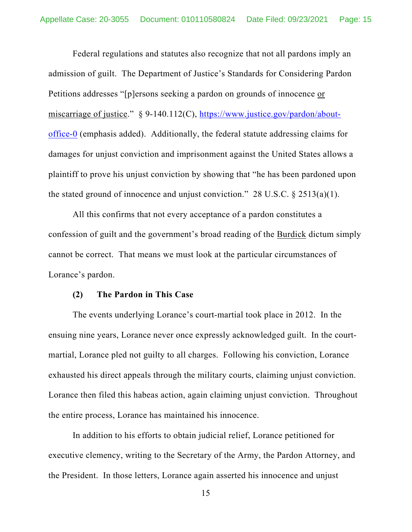Federal regulations and statutes also recognize that not all pardons imply an admission of guilt. The Department of Justice's Standards for Considering Pardon Petitions addresses "[p]ersons seeking a pardon on grounds of innocence or miscarriage of justice." § 9-140.112(C), https://www.justice.gov/pardon/aboutoffice-0 (emphasis added). Additionally, the federal statute addressing claims for damages for unjust conviction and imprisonment against the United States allows a plaintiff to prove his unjust conviction by showing that "he has been pardoned upon the stated ground of innocence and unjust conviction." 28 U.S.C.  $\S 2513(a)(1)$ .

All this confirms that not every acceptance of a pardon constitutes a confession of guilt and the government's broad reading of the Burdick dictum simply cannot be correct. That means we must look at the particular circumstances of Lorance's pardon.

#### **(2) The Pardon in This Case**

The events underlying Lorance's court-martial took place in 2012. In the ensuing nine years, Lorance never once expressly acknowledged guilt. In the courtmartial, Lorance pled not guilty to all charges. Following his conviction, Lorance exhausted his direct appeals through the military courts, claiming unjust conviction. Lorance then filed this habeas action, again claiming unjust conviction. Throughout the entire process, Lorance has maintained his innocence.

In addition to his efforts to obtain judicial relief, Lorance petitioned for executive clemency, writing to the Secretary of the Army, the Pardon Attorney, and the President. In those letters, Lorance again asserted his innocence and unjust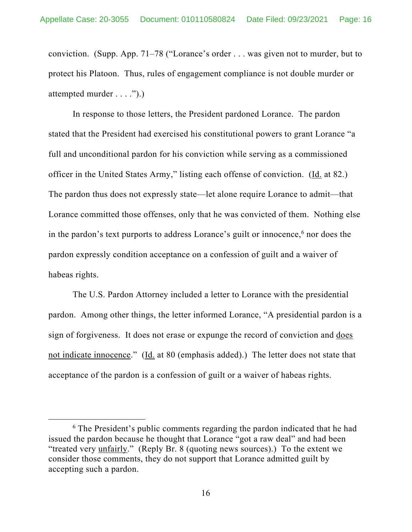conviction. (Supp. App. 71–78 ("Lorance's order . . . was given not to murder, but to protect his Platoon. Thus, rules of engagement compliance is not double murder or attempted murder . . . .").)

In response to those letters, the President pardoned Lorance. The pardon stated that the President had exercised his constitutional powers to grant Lorance "a full and unconditional pardon for his conviction while serving as a commissioned officer in the United States Army," listing each offense of conviction. (Id. at 82.) The pardon thus does not expressly state—let alone require Lorance to admit—that Lorance committed those offenses, only that he was convicted of them. Nothing else in the pardon's text purports to address Lorance's guilt or innocence,<sup>6</sup> nor does the pardon expressly condition acceptance on a confession of guilt and a waiver of habeas rights.

The U.S. Pardon Attorney included a letter to Lorance with the presidential pardon. Among other things, the letter informed Lorance, "A presidential pardon is a sign of forgiveness. It does not erase or expunge the record of conviction and does not indicate innocence." (Id. at 80 (emphasis added).) The letter does not state that acceptance of the pardon is a confession of guilt or a waiver of habeas rights.

<sup>&</sup>lt;sup>6</sup> The President's public comments regarding the pardon indicated that he had issued the pardon because he thought that Lorance "got a raw deal" and had been "treated very unfairly." (Reply Br. 8 (quoting news sources).) To the extent we consider those comments, they do not support that Lorance admitted guilt by accepting such a pardon.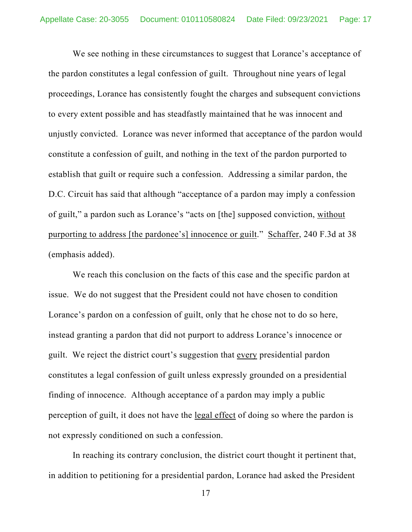We see nothing in these circumstances to suggest that Lorance's acceptance of the pardon constitutes a legal confession of guilt. Throughout nine years of legal proceedings, Lorance has consistently fought the charges and subsequent convictions to every extent possible and has steadfastly maintained that he was innocent and unjustly convicted. Lorance was never informed that acceptance of the pardon would constitute a confession of guilt, and nothing in the text of the pardon purported to establish that guilt or require such a confession. Addressing a similar pardon, the D.C. Circuit has said that although "acceptance of a pardon may imply a confession of guilt," a pardon such as Lorance's "acts on [the] supposed conviction, without purporting to address [the pardonee's] innocence or guilt." Schaffer, 240 F.3d at 38 (emphasis added).

We reach this conclusion on the facts of this case and the specific pardon at issue. We do not suggest that the President could not have chosen to condition Lorance's pardon on a confession of guilt, only that he chose not to do so here, instead granting a pardon that did not purport to address Lorance's innocence or guilt. We reject the district court's suggestion that every presidential pardon constitutes a legal confession of guilt unless expressly grounded on a presidential finding of innocence. Although acceptance of a pardon may imply a public perception of guilt, it does not have the <u>legal effect</u> of doing so where the pardon is not expressly conditioned on such a confession.

In reaching its contrary conclusion, the district court thought it pertinent that, in addition to petitioning for a presidential pardon, Lorance had asked the President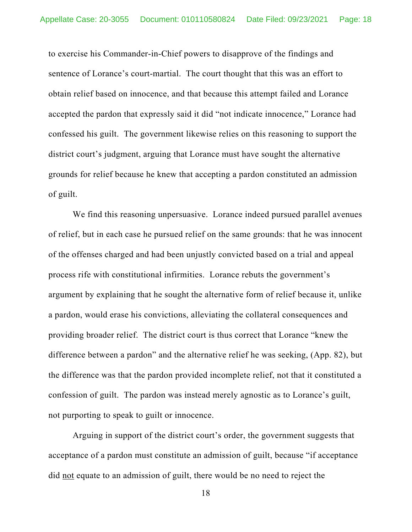to exercise his Commander-in-Chief powers to disapprove of the findings and sentence of Lorance's court-martial. The court thought that this was an effort to obtain relief based on innocence, and that because this attempt failed and Lorance accepted the pardon that expressly said it did "not indicate innocence," Lorance had confessed his guilt. The government likewise relies on this reasoning to support the district court's judgment, arguing that Lorance must have sought the alternative grounds for relief because he knew that accepting a pardon constituted an admission of guilt.

We find this reasoning unpersuasive. Lorance indeed pursued parallel avenues of relief, but in each case he pursued relief on the same grounds: that he was innocent of the offenses charged and had been unjustly convicted based on a trial and appeal process rife with constitutional infirmities. Lorance rebuts the government's argument by explaining that he sought the alternative form of relief because it, unlike a pardon, would erase his convictions, alleviating the collateral consequences and providing broader relief. The district court is thus correct that Lorance "knew the difference between a pardon" and the alternative relief he was seeking, (App. 82), but the difference was that the pardon provided incomplete relief, not that it constituted a confession of guilt. The pardon was instead merely agnostic as to Lorance's guilt, not purporting to speak to guilt or innocence.

Arguing in support of the district court's order, the government suggests that acceptance of a pardon must constitute an admission of guilt, because "if acceptance did not equate to an admission of guilt, there would be no need to reject the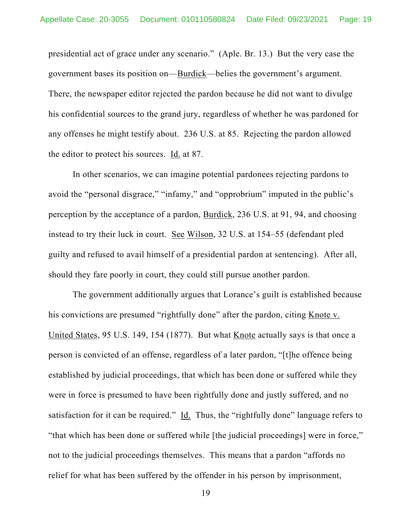presidential act of grace under any scenario." (Aple. Br. 13.) But the very case the government bases its position on—Burdick—belies the government's argument. There, the newspaper editor rejected the pardon because he did not want to divulge his confidential sources to the grand jury, regardless of whether he was pardoned for any offenses he might testify about. 236 U.S. at 85. Rejecting the pardon allowed the editor to protect his sources. Id. at 87.

In other scenarios, we can imagine potential pardonees rejecting pardons to avoid the "personal disgrace," "infamy," and "opprobrium" imputed in the public's perception by the acceptance of a pardon, Burdick, 236 U.S. at 91, 94, and choosing instead to try their luck in court. See Wilson, 32 U.S. at 154–55 (defendant pled guilty and refused to avail himself of a presidential pardon at sentencing). After all, should they fare poorly in court, they could still pursue another pardon.

The government additionally argues that Lorance's guilt is established because his convictions are presumed "rightfully done" after the pardon, citing Knote v. United States, 95 U.S. 149, 154 (1877). But what Knote actually says is that once a person is convicted of an offense, regardless of a later pardon, "[t]he offence being established by judicial proceedings, that which has been done or suffered while they were in force is presumed to have been rightfully done and justly suffered, and no satisfaction for it can be required." Id. Thus, the "rightfully done" language refers to "that which has been done or suffered while [the judicial proceedings] were in force," not to the judicial proceedings themselves. This means that a pardon "affords no relief for what has been suffered by the offender in his person by imprisonment,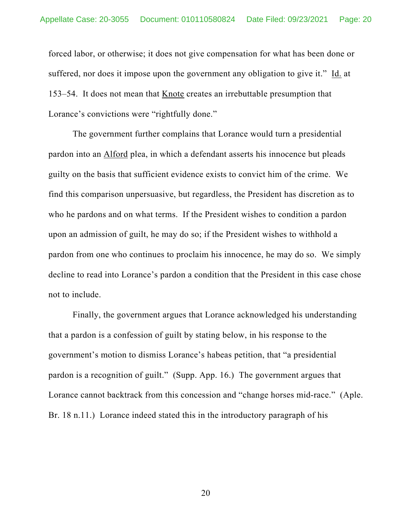forced labor, or otherwise; it does not give compensation for what has been done or suffered, nor does it impose upon the government any obligation to give it." Id. at 153–54. It does not mean that Knote creates an irrebuttable presumption that Lorance's convictions were "rightfully done."

The government further complains that Lorance would turn a presidential pardon into an Alford plea, in which a defendant asserts his innocence but pleads guilty on the basis that sufficient evidence exists to convict him of the crime. We find this comparison unpersuasive, but regardless, the President has discretion as to who he pardons and on what terms. If the President wishes to condition a pardon upon an admission of guilt, he may do so; if the President wishes to withhold a pardon from one who continues to proclaim his innocence, he may do so. We simply decline to read into Lorance's pardon a condition that the President in this case chose not to include.

Finally, the government argues that Lorance acknowledged his understanding that a pardon is a confession of guilt by stating below, in his response to the government's motion to dismiss Lorance's habeas petition, that "a presidential pardon is a recognition of guilt." (Supp. App. 16.) The government argues that Lorance cannot backtrack from this concession and "change horses mid-race." (Aple. Br. 18 n.11.) Lorance indeed stated this in the introductory paragraph of his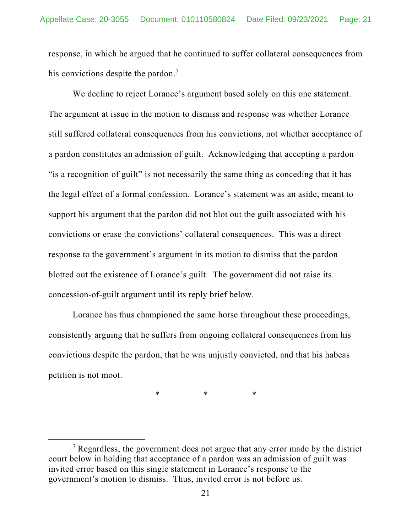response, in which he argued that he continued to suffer collateral consequences from his convictions despite the pardon.<sup>7</sup>

We decline to reject Lorance's argument based solely on this one statement. The argument at issue in the motion to dismiss and response was whether Lorance still suffered collateral consequences from his convictions, not whether acceptance of a pardon constitutes an admission of guilt. Acknowledging that accepting a pardon "is a recognition of guilt" is not necessarily the same thing as conceding that it has the legal effect of a formal confession. Lorance's statement was an aside, meant to support his argument that the pardon did not blot out the guilt associated with his convictions or erase the convictions' collateral consequences. This was a direct response to the government's argument in its motion to dismiss that the pardon blotted out the existence of Lorance's guilt. The government did not raise its concession-of-guilt argument until its reply brief below.

Lorance has thus championed the same horse throughout these proceedings, consistently arguing that he suffers from ongoing collateral consequences from his convictions despite the pardon, that he was unjustly convicted, and that his habeas petition is not moot.

\* \* \*

<sup>&</sup>lt;sup>7</sup> Regardless, the government does not argue that any error made by the district court below in holding that acceptance of a pardon was an admission of guilt was invited error based on this single statement in Lorance's response to the government's motion to dismiss. Thus, invited error is not before us.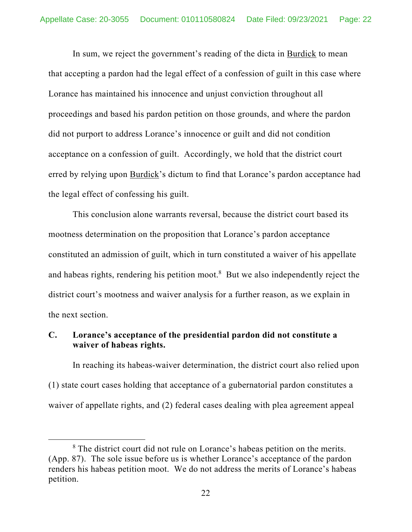In sum, we reject the government's reading of the dicta in Burdick to mean that accepting a pardon had the legal effect of a confession of guilt in this case where Lorance has maintained his innocence and unjust conviction throughout all proceedings and based his pardon petition on those grounds, and where the pardon did not purport to address Lorance's innocence or guilt and did not condition acceptance on a confession of guilt. Accordingly, we hold that the district court erred by relying upon Burdick's dictum to find that Lorance's pardon acceptance had the legal effect of confessing his guilt.

This conclusion alone warrants reversal, because the district court based its mootness determination on the proposition that Lorance's pardon acceptance constituted an admission of guilt, which in turn constituted a waiver of his appellate and habeas rights, rendering his petition moot.<sup>8</sup> But we also independently reject the district court's mootness and waiver analysis for a further reason, as we explain in the next section.

## **C. Lorance's acceptance of the presidential pardon did not constitute a waiver of habeas rights.**

In reaching its habeas-waiver determination, the district court also relied upon (1) state court cases holding that acceptance of a gubernatorial pardon constitutes a waiver of appellate rights, and (2) federal cases dealing with plea agreement appeal

<sup>&</sup>lt;sup>8</sup> The district court did not rule on Lorance's habeas petition on the merits. (App. 87). The sole issue before us is whether Lorance's acceptance of the pardon renders his habeas petition moot. We do not address the merits of Lorance's habeas petition.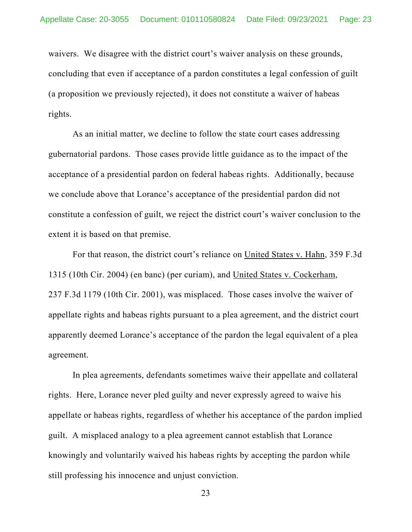waivers. We disagree with the district court's waiver analysis on these grounds, concluding that even if acceptance of a pardon constitutes a legal confession of guilt (a proposition we previously rejected), it does not constitute a waiver of habeas rights.

As an initial matter, we decline to follow the state court cases addressing gubernatorial pardons. Those cases provide little guidance as to the impact of the acceptance of a presidential pardon on federal habeas rights. Additionally, because we conclude above that Lorance's acceptance of the presidential pardon did not constitute a confession of guilt, we reject the district court's waiver conclusion to the extent it is based on that premise.

For that reason, the district court's reliance on United States v. Hahn, 359 F.3d 1315 (10th Cir. 2004) (en banc) (per curiam), and United States v. Cockerham, 237 F.3d 1179 (10th Cir. 2001), was misplaced. Those cases involve the waiver of appellate rights and habeas rights pursuant to a plea agreement, and the district court apparently deemed Lorance's acceptance of the pardon the legal equivalent of a plea agreement.

In plea agreements, defendants sometimes waive their appellate and collateral rights. Here, Lorance never pled guilty and never expressly agreed to waive his appellate or habeas rights, regardless of whether his acceptance of the pardon implied guilt. A misplaced analogy to a plea agreement cannot establish that Lorance knowingly and voluntarily waived his habeas rights by accepting the pardon while still professing his innocence and unjust conviction.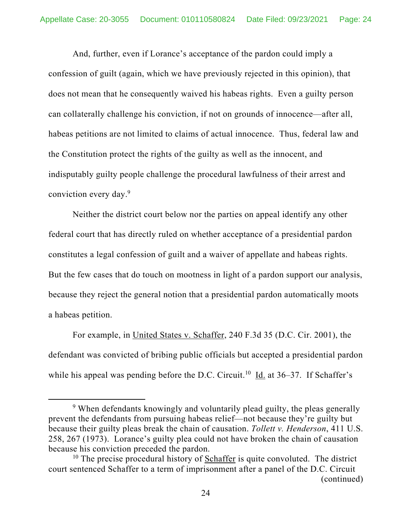And, further, even if Lorance's acceptance of the pardon could imply a confession of guilt (again, which we have previously rejected in this opinion), that does not mean that he consequently waived his habeas rights. Even a guilty person can collaterally challenge his conviction, if not on grounds of innocence—after all, habeas petitions are not limited to claims of actual innocence. Thus, federal law and the Constitution protect the rights of the guilty as well as the innocent, and indisputably guilty people challenge the procedural lawfulness of their arrest and conviction every day.9

Neither the district court below nor the parties on appeal identify any other federal court that has directly ruled on whether acceptance of a presidential pardon constitutes a legal confession of guilt and a waiver of appellate and habeas rights. But the few cases that do touch on mootness in light of a pardon support our analysis, because they reject the general notion that a presidential pardon automatically moots a habeas petition.

For example, in United States v. Schaffer, 240 F.3d 35 (D.C. Cir. 2001), the defendant was convicted of bribing public officials but accepted a presidential pardon while his appeal was pending before the D.C. Circuit.<sup>10</sup> Id. at  $36-37$ . If Schaffer's

<sup>&</sup>lt;sup>9</sup> When defendants knowingly and voluntarily plead guilty, the pleas generally prevent the defendants from pursuing habeas relief—not because they're guilty but because their guilty pleas break the chain of causation. *Tollett v. Henderson*, 411 U.S. 258, 267 (1973). Lorance's guilty plea could not have broken the chain of causation because his conviction preceded the pardon.

 $10$  The precise procedural history of Schaffer is quite convoluted. The district court sentenced Schaffer to a term of imprisonment after a panel of the D.C. Circuit (continued)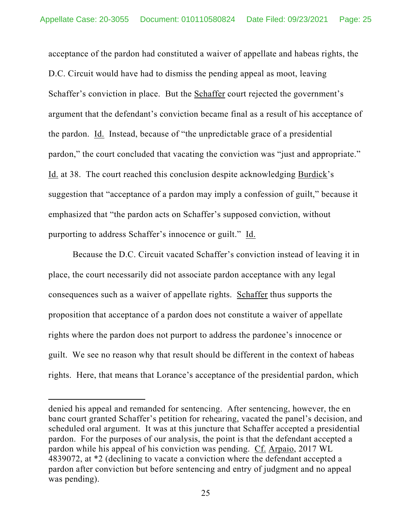acceptance of the pardon had constituted a waiver of appellate and habeas rights, the D.C. Circuit would have had to dismiss the pending appeal as moot, leaving Schaffer's conviction in place. But the Schaffer court rejected the government's argument that the defendant's conviction became final as a result of his acceptance of the pardon. Id. Instead, because of "the unpredictable grace of a presidential pardon," the court concluded that vacating the conviction was "just and appropriate." Id. at 38. The court reached this conclusion despite acknowledging Burdick's suggestion that "acceptance of a pardon may imply a confession of guilt," because it emphasized that "the pardon acts on Schaffer's supposed conviction, without purporting to address Schaffer's innocence or guilt." Id.

Because the D.C. Circuit vacated Schaffer's conviction instead of leaving it in place, the court necessarily did not associate pardon acceptance with any legal consequences such as a waiver of appellate rights. Schaffer thus supports the proposition that acceptance of a pardon does not constitute a waiver of appellate rights where the pardon does not purport to address the pardonee's innocence or guilt. We see no reason why that result should be different in the context of habeas rights. Here, that means that Lorance's acceptance of the presidential pardon, which

denied his appeal and remanded for sentencing. After sentencing, however, the en banc court granted Schaffer's petition for rehearing, vacated the panel's decision, and scheduled oral argument. It was at this juncture that Schaffer accepted a presidential pardon. For the purposes of our analysis, the point is that the defendant accepted a pardon while his appeal of his conviction was pending. Cf. Arpaio, 2017 WL 4839072, at \*2 (declining to vacate a conviction where the defendant accepted a pardon after conviction but before sentencing and entry of judgment and no appeal was pending).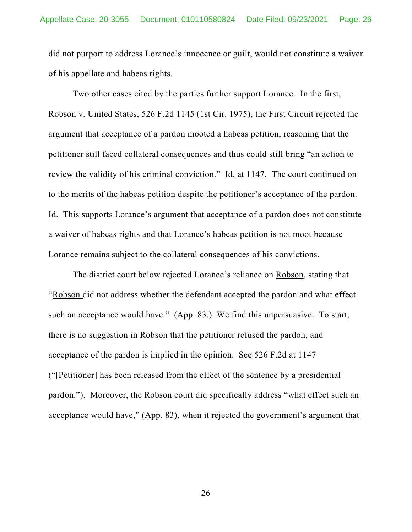did not purport to address Lorance's innocence or guilt, would not constitute a waiver of his appellate and habeas rights.

Two other cases cited by the parties further support Lorance. In the first, Robson v. United States, 526 F.2d 1145 (1st Cir. 1975), the First Circuit rejected the argument that acceptance of a pardon mooted a habeas petition, reasoning that the petitioner still faced collateral consequences and thus could still bring "an action to review the validity of his criminal conviction." Id. at 1147. The court continued on to the merits of the habeas petition despite the petitioner's acceptance of the pardon. Id. This supports Lorance's argument that acceptance of a pardon does not constitute a waiver of habeas rights and that Lorance's habeas petition is not moot because Lorance remains subject to the collateral consequences of his convictions.

The district court below rejected Lorance's reliance on Robson, stating that "Robson did not address whether the defendant accepted the pardon and what effect such an acceptance would have." (App. 83.) We find this unpersuasive. To start, there is no suggestion in Robson that the petitioner refused the pardon, and acceptance of the pardon is implied in the opinion. See 526 F.2d at 1147 ("[Petitioner] has been released from the effect of the sentence by a presidential pardon."). Moreover, the Robson court did specifically address "what effect such an acceptance would have," (App. 83), when it rejected the government's argument that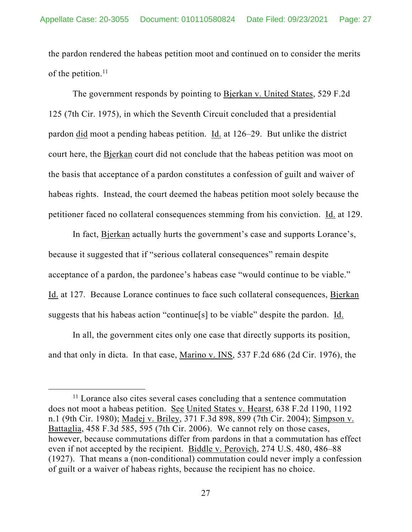the pardon rendered the habeas petition moot and continued on to consider the merits of the petition. $11$ 

The government responds by pointing to Bjerkan v. United States, 529 F.2d 125 (7th Cir. 1975), in which the Seventh Circuit concluded that a presidential pardon did moot a pending habeas petition. Id. at 126–29. But unlike the district court here, the Bjerkan court did not conclude that the habeas petition was moot on the basis that acceptance of a pardon constitutes a confession of guilt and waiver of habeas rights. Instead, the court deemed the habeas petition moot solely because the petitioner faced no collateral consequences stemming from his conviction. Id. at 129.

In fact, Bjerkan actually hurts the government's case and supports Lorance's, because it suggested that if "serious collateral consequences" remain despite acceptance of a pardon, the pardonee's habeas case "would continue to be viable." Id. at 127. Because Lorance continues to face such collateral consequences, Bjerkan suggests that his habeas action "continue[s] to be viable" despite the pardon. Id.

In all, the government cites only one case that directly supports its position, and that only in dicta. In that case, Marino v. INS, 537 F.2d 686 (2d Cir. 1976), the

<sup>&</sup>lt;sup>11</sup> Lorance also cites several cases concluding that a sentence commutation does not moot a habeas petition. See United States v. Hearst, 638 F.2d 1190, 1192 n.1 (9th Cir. 1980); Madej v. Briley, 371 F.3d 898, 899 (7th Cir. 2004); Simpson v. Battaglia, 458 F.3d 585, 595 (7th Cir. 2006). We cannot rely on those cases, however, because commutations differ from pardons in that a commutation has effect even if not accepted by the recipient. Biddle v. Perovich, 274 U.S. 480, 486–88 (1927). That means a (non-conditional) commutation could never imply a confession of guilt or a waiver of habeas rights, because the recipient has no choice.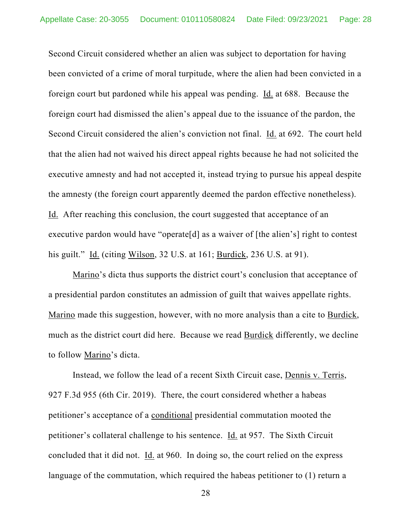Second Circuit considered whether an alien was subject to deportation for having been convicted of a crime of moral turpitude, where the alien had been convicted in a foreign court but pardoned while his appeal was pending. Id. at 688. Because the foreign court had dismissed the alien's appeal due to the issuance of the pardon, the Second Circuit considered the alien's conviction not final. Id. at 692. The court held that the alien had not waived his direct appeal rights because he had not solicited the executive amnesty and had not accepted it, instead trying to pursue his appeal despite the amnesty (the foreign court apparently deemed the pardon effective nonetheless). Id. After reaching this conclusion, the court suggested that acceptance of an executive pardon would have "operate [d] as a waiver of [the alien's] right to contest his guilt." Id. (citing Wilson, 32 U.S. at 161; Burdick, 236 U.S. at 91).

Marino's dicta thus supports the district court's conclusion that acceptance of a presidential pardon constitutes an admission of guilt that waives appellate rights. Marino made this suggestion, however, with no more analysis than a cite to Burdick, much as the district court did here. Because we read Burdick differently, we decline to follow Marino's dicta.

Instead, we follow the lead of a recent Sixth Circuit case, Dennis v. Terris, 927 F.3d 955 (6th Cir. 2019). There, the court considered whether a habeas petitioner's acceptance of a conditional presidential commutation mooted the petitioner's collateral challenge to his sentence. Id. at 957. The Sixth Circuit concluded that it did not. Id. at 960. In doing so, the court relied on the express language of the commutation, which required the habeas petitioner to (1) return a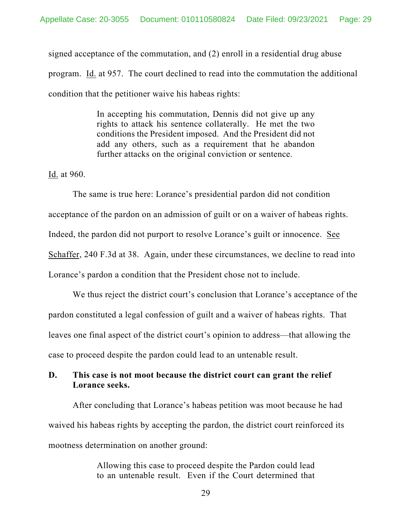signed acceptance of the commutation, and (2) enroll in a residential drug abuse program. Id. at 957. The court declined to read into the commutation the additional condition that the petitioner waive his habeas rights:

> In accepting his commutation, Dennis did not give up any rights to attack his sentence collaterally. He met the two conditions the President imposed. And the President did not add any others, such as a requirement that he abandon further attacks on the original conviction or sentence.

Id. at 960.

The same is true here: Lorance's presidential pardon did not condition acceptance of the pardon on an admission of guilt or on a waiver of habeas rights. Indeed, the pardon did not purport to resolve Lorance's guilt or innocence. See Schaffer, 240 F.3d at 38. Again, under these circumstances, we decline to read into Lorance's pardon a condition that the President chose not to include.

We thus reject the district court's conclusion that Lorance's acceptance of the pardon constituted a legal confession of guilt and a waiver of habeas rights. That leaves one final aspect of the district court's opinion to address—that allowing the case to proceed despite the pardon could lead to an untenable result.

## **D. This case is not moot because the district court can grant the relief Lorance seeks.**

After concluding that Lorance's habeas petition was moot because he had waived his habeas rights by accepting the pardon, the district court reinforced its mootness determination on another ground:

> Allowing this case to proceed despite the Pardon could lead to an untenable result. Even if the Court determined that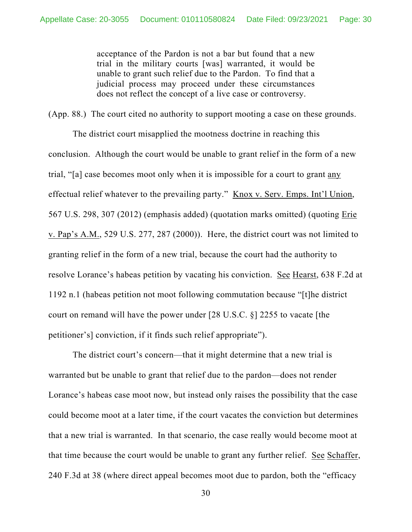acceptance of the Pardon is not a bar but found that a new trial in the military courts [was] warranted, it would be unable to grant such relief due to the Pardon. To find that a judicial process may proceed under these circumstances does not reflect the concept of a live case or controversy.

(App. 88.) The court cited no authority to support mooting a case on these grounds.

The district court misapplied the mootness doctrine in reaching this conclusion. Although the court would be unable to grant relief in the form of a new trial, "[a] case becomes moot only when it is impossible for a court to grant any effectual relief whatever to the prevailing party." Knox v. Serv. Emps. Int'l Union, 567 U.S. 298, 307 (2012) (emphasis added) (quotation marks omitted) (quoting Erie v. Pap's A.M., 529 U.S. 277, 287 (2000)). Here, the district court was not limited to granting relief in the form of a new trial, because the court had the authority to resolve Lorance's habeas petition by vacating his conviction. See Hearst, 638 F.2d at 1192 n.1 (habeas petition not moot following commutation because "[t]he district court on remand will have the power under [28 U.S.C. §] 2255 to vacate [the petitioner's] conviction, if it finds such relief appropriate").

The district court's concern—that it might determine that a new trial is warranted but be unable to grant that relief due to the pardon—does not render Lorance's habeas case moot now, but instead only raises the possibility that the case could become moot at a later time, if the court vacates the conviction but determines that a new trial is warranted. In that scenario, the case really would become moot at that time because the court would be unable to grant any further relief. See Schaffer, 240 F.3d at 38 (where direct appeal becomes moot due to pardon, both the "efficacy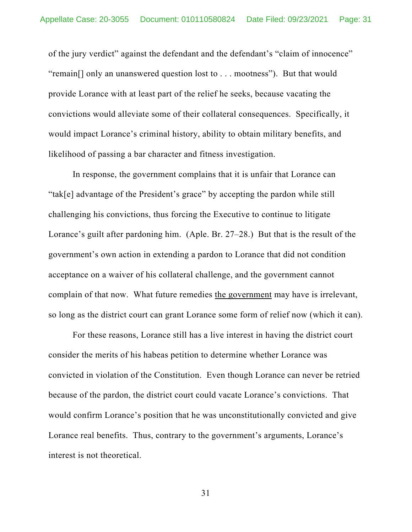of the jury verdict" against the defendant and the defendant's "claim of innocence" "remain[] only an unanswered question lost to . . . mootness"). But that would provide Lorance with at least part of the relief he seeks, because vacating the convictions would alleviate some of their collateral consequences. Specifically, it would impact Lorance's criminal history, ability to obtain military benefits, and likelihood of passing a bar character and fitness investigation.

In response, the government complains that it is unfair that Lorance can "tak[e] advantage of the President's grace" by accepting the pardon while still challenging his convictions, thus forcing the Executive to continue to litigate Lorance's guilt after pardoning him. (Aple. Br. 27–28.) But that is the result of the government's own action in extending a pardon to Lorance that did not condition acceptance on a waiver of his collateral challenge, and the government cannot complain of that now. What future remedies the government may have is irrelevant, so long as the district court can grant Lorance some form of relief now (which it can).

For these reasons, Lorance still has a live interest in having the district court consider the merits of his habeas petition to determine whether Lorance was convicted in violation of the Constitution. Even though Lorance can never be retried because of the pardon, the district court could vacate Lorance's convictions. That would confirm Lorance's position that he was unconstitutionally convicted and give Lorance real benefits. Thus, contrary to the government's arguments, Lorance's interest is not theoretical.